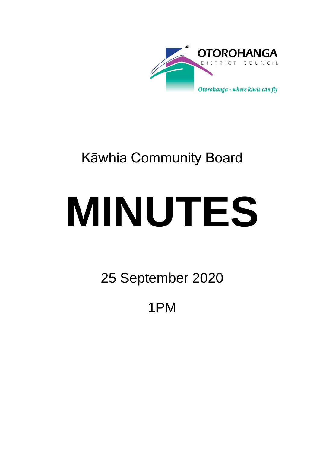

## Kāwhia Community Board

# **MINUTES**

25 September 2020

1PM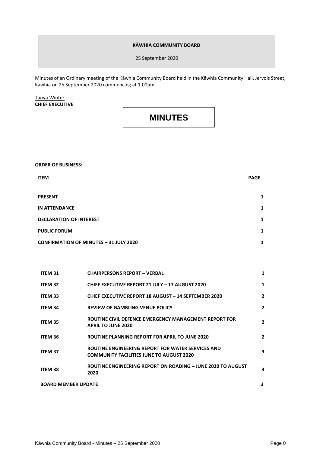#### **KĀWHIA COMMUNITY BOARD**

25 September 2020

Minutes of an Ordinary meeting of the Kāwhia Community Board held in the Kāwhia Community Hall, Jervois Street, Kāwhia on 25 September 2020 commencing at 1.00pm.

Tanya Winter **CHIEF EXECUTIVE**

### **MINUTES**

**ORDER OF BUSINESS:**

| <b>ITEM</b>                                   | <b>PAGE</b> |
|-----------------------------------------------|-------------|
| <b>PRESENT</b>                                | 1           |
| <b>IN ATTENDANCE</b>                          | 1           |
| <b>DECLARATION OF INTEREST</b>                | 1           |
| <b>PUBLIC FORUM</b>                           | 1           |
| <b>CONFIRMATION OF MINUTES - 31 JULY 2020</b> | 1           |

| <b>ITEM 31</b>             | <b>CHAIRPERSONS REPORT - VERBAL</b>                                                                         | 1              |
|----------------------------|-------------------------------------------------------------------------------------------------------------|----------------|
| ITEM 32                    | <b>CHIEF EXECUTIVE REPORT 21 JULY - 17 AUGUST 2020</b>                                                      | 1              |
| <b>ITEM 33</b>             | <b>CHIEF EXECUTIVE REPORT 18 AUGUST - 14 SEPTEMBER 2020</b>                                                 | $\mathbf{2}$   |
| <b>ITEM 34</b>             | <b>REVIEW OF GAMBLING VENUE POLICY</b>                                                                      | $\mathbf{2}$   |
| ITEM 35                    | ROUTINE CIVIL DEFENCE EMERGENCY MANAGEMENT REPORT FOR<br><b>APRIL TO JUNE 2020</b>                          | $\overline{2}$ |
| <b>ITEM 36</b>             | <b>ROUTINE PLANNING REPORT FOR APRIL TO JUNE 2020</b>                                                       | $\mathbf{2}$   |
| <b>ITEM 37</b>             | <b>ROUTINE ENGINEERING REPORT FOR WATER SERVICES AND</b><br><b>COMMUNITY FACILITIES JUNE TO AUGUST 2020</b> | 3              |
| <b>ITEM 38</b>             | ROUTINE ENGINEERING REPORT ON ROADING - JUNE 2020 TO AUGUST<br>2020                                         | 3              |
| <b>BOARD MEMBER UPDATE</b> |                                                                                                             | 3              |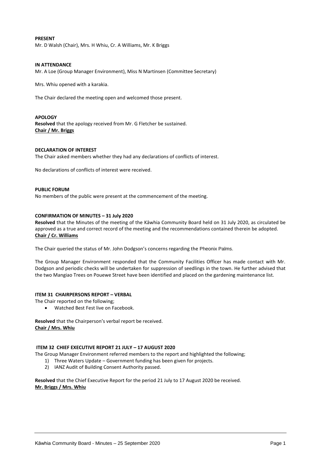#### **PRESENT**

Mr. D Walsh (Chair), Mrs. H Whiu, Cr. A Williams, Mr. K Briggs

#### **IN ATTENDANCE**

Mr. A Loe (Group Manager Environment), Miss N Martinsen (Committee Secretary)

Mrs. Whiu opened with a karakia.

The Chair declared the meeting open and welcomed those present.

**APOLOGY Resolved** that the apology received from Mr. G Fletcher be sustained. **Chair / Mr. Briggs**

#### **DECLARATION OF INTEREST**

The Chair asked members whether they had any declarations of conflicts of interest.

No declarations of conflicts of interest were received.

#### **PUBLIC FORUM**

No members of the public were present at the commencement of the meeting.

#### **CONFIRMATION OF MINUTES – 31 July 2020**

**Resolved** that the Minutes of the meeting of the Kāwhia Community Board held on 31 July 2020, as circulated be approved as a true and correct record of the meeting and the recommendations contained therein be adopted. **Chair / Cr. Williams**

The Chair queried the status of Mr. John Dodgson's concerns regarding the Pheonix Palms.

The Group Manager Environment responded that the Community Facilities Officer has made contact with Mr. Dodgson and periodic checks will be undertaken for suppression of seedlings in the town. He further advised that the two Mangiao Trees on Pouewe Street have been identified and placed on the gardening maintenance list.

#### **ITEM 31 CHAIRPERSONS REPORT – VERBAL**

The Chair reported on the following;

Watched Best Fest live on Facebook.

**Resolved** that the Chairperson's verbal report be received. **Chair / Mrs. Whiu**

#### **ITEM 32 CHIEF EXECUTIVE REPORT 21 JULY – 17 AUGUST 2020**

The Group Manager Environment referred members to the report and highlighted the following;

- 1) Three Waters Update Government funding has been given for projects.
- 2) IANZ Audit of Building Consent Authority passed.

**Resolved** that the Chief Executive Report for the period 21 July to 17 August 2020 be received. **Mr. Briggs / Mrs. Whiu**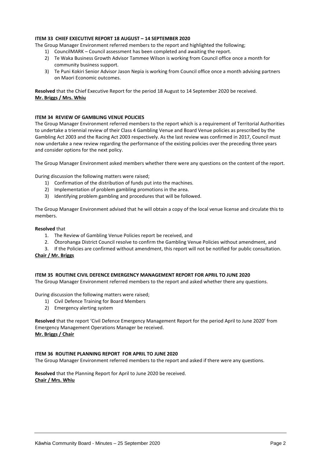#### **ITEM 33 CHIEF EXECUTIVE REPORT 18 AUGUST – 14 SEPTEMBER 2020**

The Group Manager Environment referred members to the report and highlighted the following;

- 1) CouncilMARK Council assessment has been completed and awaiting the report.
- 2) Te Waka Business Growth Advisor Tammee Wilson is working from Council office once a month for community business support.
- 3) Te Puni Kokiri Senior Advisor Jason Nepia is working from Council office once a month advising partners on Maori Economic outcomes.

**Resolved** that the Chief Executive Report for the period 18 August to 14 September 2020 be received. **Mr. Briggs / Mrs. Whiu**

#### **ITEM 34 REVIEW OF GAMBLING VENUE POLICIES**

The Group Manager Environment referred members to the report which is a requirement of Territorial Authorities to undertake a triennial review of their Class 4 Gambling Venue and Board Venue policies as prescribed by the Gambling Act 2003 and the Racing Act 2003 respectively. As the last review was confirmed in 2017, Council must now undertake a new review regarding the performance of the existing policies over the preceding three years and consider options for the next policy.

The Group Manager Environment asked members whether there were any questions on the content of the report.

During discussion the following matters were raised;

- 1) Confirmation of the distribution of funds put into the machines.
- 2) Implementation of problem gambling promotions in the area.
- 3) Identifying problem gambling and procedures that will be followed.

The Group Manager Environment advised that he will obtain a copy of the local venue license and circulate this to members.

#### **Resolved** that

- 1. The Review of Gambling Venue Policies report be received, and
- 2. Ōtorohanga District Council resolve to confirm the Gambling Venue Policies without amendment, and
- 3. If the Policies are confirmed without amendment, this report will not be notified for public consultation.

#### **Chair / Mr. Briggs**

#### **ITEM 35 ROUTINE CIVIL DEFENCE EMERGENCY MANAGEMENT REPORT FOR APRIL TO JUNE 2020**

The Group Manager Environment referred members to the report and asked whether there any questions.

During discussion the following matters were raised;

- 1) Civil Defence Training for Board Members
- 2) Emergency alerting system

**Resolved** that the report 'Civil Defence Emergency Management Report for the period April to June 2020' from Emergency Management Operations Manager be received. **Mr. Briggs / Chair**

#### **ITEM 36 ROUTINE PLANNING REPORT FOR APRIL TO JUNE 2020**

The Group Manager Environment referred members to the report and asked if there were any questions.

**Resolved** that the Planning Report for April to June 2020 be received. **Chair / Mrs. Whiu**